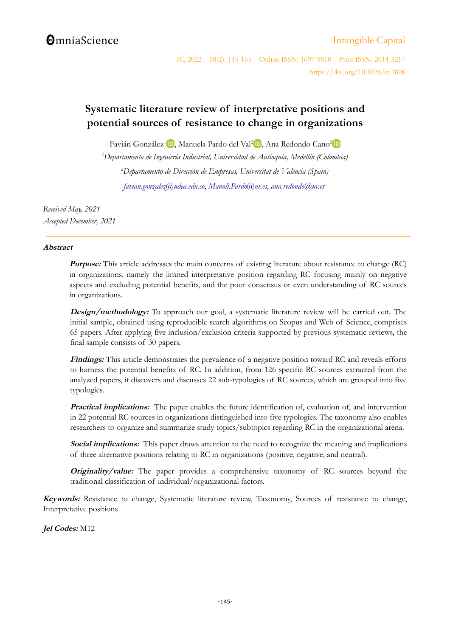# **OmniaScience**

## [Intangible Capital](http://www.intangiblecapital.org/)

IC, 2022 – 18(2): 145-165 – Online ISSN: 1697-9818 – Print ISSN: 2014-3214 https://doi.org/10.3926/ic.1806

## **Systematic literature review of interpretative positions and potential sources of resistance to change in organizations**

Favián González<sup>1</sup>D[,](https://orcid.org/0000-0003-1419-2982) Manuela Pardo del Val<sup>[2](https://orcid.org/0000-0003-3653-383X)</sup>D, Ana Redondo Cano<sup>2</sup>

*<sup>1</sup>Departamento de Ingeniería Industrial, Universidad de Antioquia, Medellín (Colombia) <sup>2</sup>Departamento de Dirección de Empresas, Universitat de València (Spain) [favian.gonzalez@udea.edu.co](mailto:favian.gonzalez@udea.edu.co)*, *[Manoli.Pardo@uv.es](mailto:Manoli.Pardo@uv.es)*, *[ana.redondo@uv.es](mailto:ana.redondo@uv.es)*

*Received May, 2021 Accepted December, 2021*

### **Abstract**

**Purpose:** This article addresses the main concerns of existing literature about resistance to change (RC) in organizations, namely the limited interpretative position regarding RC focusing mainly on negative aspects and excluding potential benefits, and the poor consensus or even understanding of RC sources in organizations.

**Design/methodology:** To approach our goal, a systematic literature review will be carried out. The initial sample, obtained using reproducible search algorithms on Scopus and Web of Science, comprises 65 papers. After applying five inclusion/exclusion criteria supported by previous systematic reviews, the final sample consists of 30 papers.

**Findings:** This article demonstrates the prevalence of a negative position toward RC and reveals efforts to harness the potential benefits of RC. In addition, from 126 specific RC sources extracted from the analyzed papers, it discovers and discusses 22 sub-typologies of RC sources, which are grouped into five typologies.

**Practical implications:** The paper enables the future identification of, evaluation of, and intervention in 22 potential RC sources in organizations distinguished into five typologies. The taxonomy also enables researchers to organize and summarize study topics/subtopics regarding RC in the organizational arena.

**Social implications:** This paper draws attention to the need to recognize the meaning and implications of three alternative positions relating to RC in organizations (positive, negative, and neutral).

**Originality/value:** The paper provides a comprehensive taxonomy of RC sources beyond the traditional classification of individual/organizational factors.

**Keywords:** Resistance to change, Systematic literature review, Taxonomy, Sources of resistance to change, Interpretative positions

**Jel Codes:** M12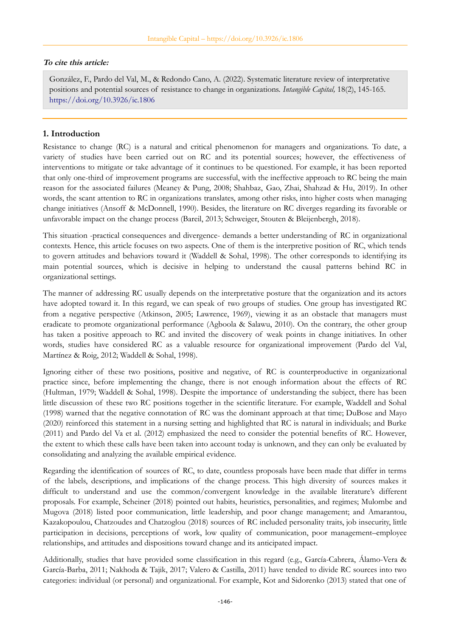#### **To cite this article:**

González, F., Pardo del Val, M., & Redondo Cano, A. (2022). Systematic literature review of interpretative positions and potential sources of resistance to change in organizations. *Intangible Capital,* 18(2), 145-165. <https://doi.org/10.3926/ic.1806>

### **1. Introduction**

Resistance to change (RC) is a natural and critical phenomenon for managers and organizations. To date, a variety of studies have been carried out on RC and its potential sources; however, the effectiveness of interventions to mitigate or take advantage of it continues to be questioned. For example, it has been reported that only one-third of improvement programs are successful, with the ineffective approach to RC being the main reason for the associated failures (Meaney & Pung, 2008; Shahbaz, Gao, Zhai, Shahzad & Hu, 2019). In other words, the scant attention to RC in organizations translates, among other risks, into higher costs when managing change initiatives (Ansoff & McDonnell, 1990). Besides, the literature on RC diverges regarding its favorable or unfavorable impact on the change process (Bareil, 2013; Schweiger, Stouten & Bleijenbergh, 2018).

This situation -practical consequences and divergence- demands a better understanding of RC in organizational contexts. Hence, this article focuses on two aspects. One of them is the interpretive position of RC, which tends to govern attitudes and behaviors toward it (Waddell & Sohal, 1998). The other corresponds to identifying its main potential sources, which is decisive in helping to understand the causal patterns behind RC in organizational settings.

The manner of addressing RC usually depends on the interpretative posture that the organization and its actors have adopted toward it. In this regard, we can speak of two groups of studies. One group has investigated RC from a negative perspective (Atkinson, 2005; Lawrence, 1969), viewing it as an obstacle that managers must eradicate to promote organizational performance (Agboola & Salawu, 2010). On the contrary, the other group has taken a positive approach to RC and invited the discovery of weak points in change initiatives. In other words, studies have considered RC as a valuable resource for organizational improvement (Pardo del Val, Martínez & Roig, 2012; Waddell & Sohal, 1998).

Ignoring either of these two positions, positive and negative, of RC is counterproductive in organizational practice since, before implementing the change, there is not enough information about the effects of RC (Hultman, 1979; Waddell & Sohal, 1998). Despite the importance of understanding the subject, there has been little discussion of these two RC positions together in the scientific literature. For example, Waddell and Sohal (1998) warned that the negative connotation of RC was the dominant approach at that time; DuBose and Mayo (2020) reinforced this statement in a nursing setting and highlighted that RC is natural in individuals; and Burke (2011) and Pardo del Va et al. (2012) emphasized the need to consider the potential benefits of RC. However, the extent to which these calls have been taken into account today is unknown, and they can only be evaluated by consolidating and analyzing the available empirical evidence.

Regarding the identification of sources of RC, to date, countless proposals have been made that differ in terms of the labels, descriptions, and implications of the change process. This high diversity of sources makes it difficult to understand and use the common/convergent knowledge in the available literature's different proposals. For example, Scheiner (2018) pointed out habits, heuristics, personalities, and regimes; Mulombe and Mugova (2018) listed poor communication, little leadership, and poor change management; and Amarantou, Kazakopoulou, Chatzoudes and Chatzoglou (2018) sources of RC included personality traits, job insecurity, little participation in decisions, perceptions of work, low quality of communication, poor management–employee relationships, and attitudes and dispositions toward change and its anticipated impact.

Additionally, studies that have provided some classification in this regard (e.g., García-Cabrera, Álamo-Vera & García-Barba, 2011; Nakhoda & Tajik, 2017; Valero & Castilla, 2011) have tended to divide RC sources into two categories: individual (or personal) and organizational. For example, Kot and Sidorenko (2013) stated that one of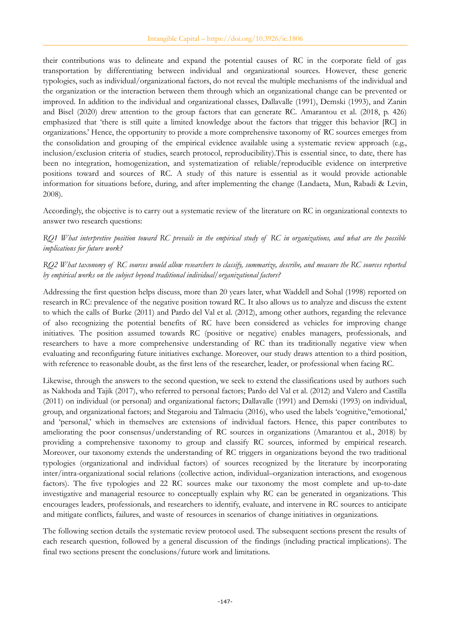their contributions was to delineate and expand the potential causes of RC in the corporate field of gas transportation by differentiating between individual and organizational sources. However, these generic typologies, such as individual/organizational factors, do not reveal the multiple mechanisms of the individual and the organization or the interaction between them through which an organizational change can be prevented or improved. In addition to the individual and organizational classes, Dallavalle (1991), Demski (1993), and Zanin and Bisel (2020) drew attention to the group factors that can generate RC. Amarantou et al. (2018, p. 426) emphasized that 'there is still quite a limited knowledge about the factors that trigger this behavior [RC] in organizations.' Hence, the opportunity to provide a more comprehensive taxonomy of RC sources emerges from the consolidation and grouping of the empirical evidence available using a systematic review approach (e.g., inclusion/exclusion criteria of studies, search protocol, reproducibility).This is essential since, to date, there has been no integration, homogenization, and systematization of reliable/reproducible evidence on interpretive positions toward and sources of RC. A study of this nature is essential as it would provide actionable information for situations before, during, and after implementing the change (Landaeta, Mun, Rabadi & Levin, 2008).

Accordingly, the objective is to carry out a systematic review of the literature on RC in organizational contexts to answer two research questions:

*RQ1 What interpretive position toward RC prevails in the empirical study of RC in organizations, and what are the possible implications for future work?*

### *RQ2 What taxonomy of RC sources would allow researchers to classify, summarize, describe, and measure the RC sources reported by empirical works on the subject beyond traditional individual/organizational factors?*

Addressing the first question helps discuss, more than 20 years later, what Waddell and Sohal (1998) reported on research in RC: prevalence of the negative position toward RC. It also allows us to analyze and discuss the extent to which the calls of Burke (2011) and Pardo del Val et al. (2012), among other authors, regarding the relevance of also recognizing the potential benefits of RC have been considered as vehicles for improving change initiatives. The position assumed towards RC (positive or negative) enables managers, professionals, and researchers to have a more comprehensive understanding of RC than its traditionally negative view when evaluating and reconfiguring future initiatives exchange. Moreover, our study draws attention to a third position, with reference to reasonable doubt, as the first lens of the researcher, leader, or professional when facing RC.

Likewise, through the answers to the second question, we seek to extend the classifications used by authors such as Nakhoda and Tajik (2017), who referred to personal factors; Pardo del Val et al. (2012) and Valero and Castilla (2011) on individual (or personal) and organizational factors; Dallavalle (1991) and Demski (1993) on individual, group, and organizational factors; and Stegaroiu and Talmaciu (2016), who used the labels 'cognitive,''emotional,' and 'personal,' which in themselves are extensions of individual factors. Hence, this paper contributes to ameliorating the poor consensus/understanding of RC sources in organizations (Amarantou et al., 2018) by providing a comprehensive taxonomy to group and classify RC sources, informed by empirical research. Moreover, our taxonomy extends the understanding of RC triggers in organizations beyond the two traditional typologies (organizational and individual factors) of sources recognized by the literature by incorporating inter/intra-organizational social relations (collective action, individual–organization interactions, and exogenous factors). The five typologies and 22 RC sources make our taxonomy the most complete and up-to-date investigative and managerial resource to conceptually explain why RC can be generated in organizations. This encourages leaders, professionals, and researchers to identify, evaluate, and intervene in RC sources to anticipate and mitigate conflicts, failures, and waste of resources in scenarios of change initiatives in organizations.

The following section details the systematic review protocol used. The subsequent sections present the results of each research question, followed by a general discussion of the findings (including practical implications). The final two sections present the conclusions/future work and limitations.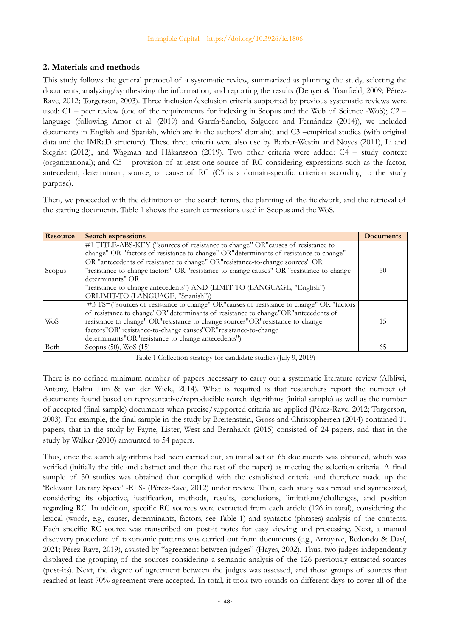## **2. Materials and methods**

This study follows the general protocol of a systematic review, summarized as planning the study, selecting the documents, analyzing/synthesizing the information, and reporting the results (Denyer & Tranfield, 2009; Pérez-Rave, 2012; Torgerson, 2003). Three inclusion/exclusion criteria supported by previous systematic reviews were used: C1 – peer review (one of the requirements for indexing in Scopus and the Web of Science -WoS); C2 – language (following Amor et al. (2019) and García-Sancho, Salguero and Fernández (2014)), we included documents in English and Spanish, which are in the authors' domain); and C3 –empirical studies (with original data and the IMRaD structure). These three criteria were also use by Barber-Westin and Noyes (2011), Li and Siegrist (2012), and Wagman and Håkansson (2019). Two other criteria were added: C4 – study context (organizational); and C5 – provision of at least one source of RC considering expressions such as the factor, antecedent, determinant, source, or cause of RC (C5 is a domain-specific criterion according to the study purpose).

Then, we proceeded with the definition of the search terms, the planning of the fieldwork, and the retrieval of the starting documents. Table 1 shows the search expressions used in Scopus and the WoS.

| <b>Resource</b> | <b>Search expressions</b>                                                                 | Documents |
|-----------------|-------------------------------------------------------------------------------------------|-----------|
|                 | #1 TITLE-ABS-KEY ("sources of resistance to change" OR" causes of resistance to           |           |
|                 | change" OR "factors of resistance to change" OR"determinants of resistance to change"     |           |
|                 | OR "antecedents of resistance to change" OR" resistance-to-change sources" OR             |           |
| Scopus          | "resistance-to-change factors" OR "resistance-to-change causes" OR "resistance-to-change  | 50        |
|                 | determinants" OR                                                                          |           |
|                 | "resistance-to-change antecedents") AND (LIMIT-TO (LANGUAGE, "English")                   |           |
|                 | ORLIMIT-TO (LANGUAGE, "Spanish"))                                                         |           |
|                 | #3 TS=("sources of resistance to change" OR" causes of resistance to change" OR "factors" |           |
|                 | of resistance to change"OR"determinants of resistance to change"OR"antecedents of         |           |
| <b>WoS</b>      | resistance to change" OR" resistance-to-change sources" OR" resistance-to-change          | 15        |
|                 | factors"OR" resistance-to-change causes"OR" resistance-to-change                          |           |
|                 | determinants"OR" resistance-to-change antecedents")                                       |           |
| Both            | Scopus (50), WoS (15)                                                                     | 65        |

Table 1.Collection strategy for candidate studies (July 9, 2019)

There is no defined minimum number of papers necessary to carry out a systematic literature review (Albliwi, Antony, Halim Lim & van der Wiele, 2014). What is required is that researchers report the number of documents found based on representative/reproducible search algorithms (initial sample) as well as the number of accepted (final sample) documents when precise/supported criteria are applied (Pérez-Rave, 2012; Torgerson, 2003). For example, the final sample in the study by Breitenstein, Gross and Christophersen (2014) contained 11 papers, that in the study by Payne, Lister, West and Bernhardt (2015) consisted of 24 papers, and that in the study by Walker (2010) amounted to 54 papers.

Thus, once the search algorithms had been carried out, an initial set of 65 documents was obtained, which was verified (initially the title and abstract and then the rest of the paper) as meeting the selection criteria. A final sample of 30 studies was obtained that complied with the established criteria and therefore made up the 'Relevant Literary Space' -RLS- (Pérez-Rave, 2012) under review. Then, each study was reread and synthesized, considering its objective, justification, methods, results, conclusions, limitations/challenges, and position regarding RC. In addition, specific RC sources were extracted from each article (126 in total), considering the lexical (words, e.g., causes, determinants, factors, see Table 1) and syntactic (phrases) analysis of the contents. Each specific RC source was transcribed on post-it notes for easy viewing and processing. Next, a manual discovery procedure of taxonomic patterns was carried out from documents (e.g., Arroyave, Redondo & Dasí, 2021; Pérez-Rave, 2019), assisted by "agreement between judges" (Hayes, 2002). Thus, two judges independently displayed the grouping of the sources considering a semantic analysis of the 126 previously extracted sources (post-its). Next, the degree of agreement between the judges was assessed, and those groups of sources that reached at least 70% agreement were accepted. In total, it took two rounds on different days to cover all of the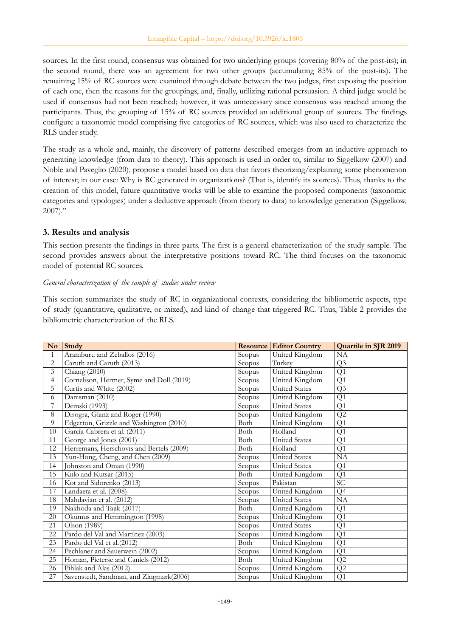sources. In the first round, consensus was obtained for two underlying groups (covering 80% of the post-its); in the second round, there was an agreement for two other groups (accumulating 85% of the post-its). The remaining 15% of RC sources were examined through debate between the two judges, first exposing the position of each one, then the reasons for the groupings, and, finally, utilizing rational persuasion. A third judge would be used if consensus had not been reached; however, it was unnecessary since consensus was reached among the participants. Thus, the grouping of 15% of RC sources provided an additional group of sources. The findings configure a taxonomic model comprising five categories of RC sources, which was also used to characterize the RLS under study.

The study as a whole and, mainly, the discovery of patterns described emerges from an inductive approach to generating knowledge (from data to theory). This approach is used in order to, similar to Siggelkow (2007) and Noble and Paveglio (2020), propose a model based on data that favors theorizing/explaining some phenomenon of interest; in our case: Why is RC generated in organizations? (That is, identify its sources). Thus, thanks to the creation of this model, future quantitative works will be able to examine the proposed components (taxonomic categories and typologies) under a deductive approach (from theory to data) to knowledge generation (Siggelkow,  $2007$ ."

## **3. Results and analysis**

This section presents the findings in three parts. The first is a general characterization of the study sample. The second provides answers about the interpretative positions toward RC. The third focuses on the taxonomic model of potential RC sources.

#### *General characterization of the sample of studies under review*

This section summarizes the study of RC in organizational contexts, considering the bibliometric aspects, type of study (quantitative, qualitative, or mixed), and kind of change that triggered RC. Thus, Table 2 provides the bibliometric characterization of the RLS.

| $\mathbf{N}\mathbf{o}$   | <b>Study</b>                             |        | <b>Resource Editor Country</b> | Quartile in SJR 2019 |
|--------------------------|------------------------------------------|--------|--------------------------------|----------------------|
| $\mathbf{1}$             | Aramburu and Zeballos (2016)             | Scopus | United Kingdom                 | NA                   |
| $\overline{c}$           | Caruth and Caruth (2013)                 | Scopus | Turkey                         | Q <sub>3</sub>       |
| 3                        | Chiang (2010)                            | Scopus | United Kingdom                 | Q1                   |
| $\overline{\mathcal{A}}$ | Cornelison, Hermer, Syme and Doll (2019) | Scopus | United Kingdom                 | Q1                   |
| 5                        | Curtis and White (2002)                  | Scopus | <b>United States</b>           | Q3                   |
| 6                        | Danisman (2010)                          | Scopus | United Kingdom                 | Q1                   |
| 7                        | Demski (1993)                            | Scopus | <b>United States</b>           | Q1                   |
| 8                        | Disogra, Glanz and Roger (1990)          | Scopus | United Kingdom                 | Q2                   |
| 9                        | Edgerton, Grizzle and Washington (2010)  | Both   | United Kingdom                 | Q1                   |
| 10                       | García-Cabrera et al. (2011)             | Both   | Holland                        | Q1                   |
| 11                       | George and Jones (2001)                  | Both   | <b>United States</b>           | Q1                   |
| 12                       | Herremans, Herschovis and Bertels (2009) | Both   | Holland                        | Q1                   |
| 13                       | Yun-Hong, Cheng, and Chen (2009)         | Scopus | <b>United States</b>           | NA                   |
| 14                       | Johnston and Oman (1990)                 | Scopus | <b>United States</b>           | Q1                   |
| 15                       | Kiilo and Kutsar (2015)                  | Both   | United Kingdom                 | Q1                   |
| 16                       | Kot and Sidorenko (2013)                 | Scopus | Pakistan                       | $\overline{SC}$      |
| 17                       | Landaeta et al. (2008)                   | Scopus | United Kingdom                 | Q <sub>4</sub>       |
| 18                       | Mahdavian et al. (2012)                  | Scopus | <b>United States</b>           | NA                   |
| 19                       | Nakhoda and Tajik (2017)                 | Both   | United Kingdom                 | Q1                   |
| 20                       | Okumus and Hemmington (1998)             | Scopus | United Kingdom                 | Q1                   |
| 21                       | Olson (1989)                             | Scopus | <b>United States</b>           | Q1                   |
| 22                       | Pardo del Val and Martínez (2003)        | Scopus | United Kingdom                 | Q1                   |
| 23                       | Pardo del Val et al.(2012)               | Both   | United Kingdom                 | Q1                   |
| 24                       | Pechlaner and Sauerwein (2002)           | Scopus | United Kingdom                 | Q1                   |
| 25                       | Homan, Pieterse and Caniels (2012)       | Both   | United Kingdom                 | Q2                   |
| 26                       | Pihlak and Alas (2012)                   | Scopus | United Kingdom                 | Q2                   |
| 27                       | Savenstedt, Sandman, and Zingmark(2006)  | Scopus | United Kingdom                 | Q1                   |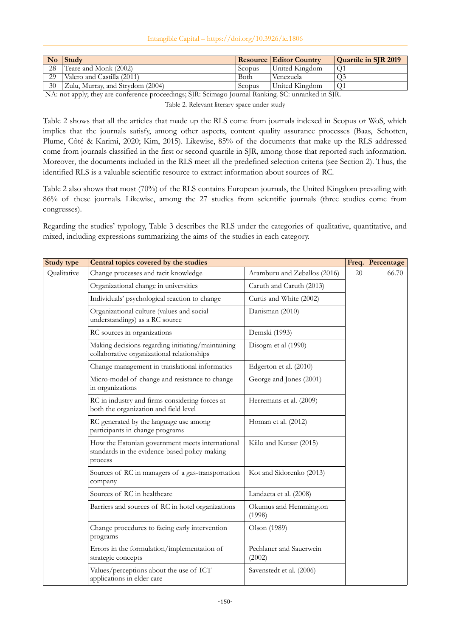Intangible Capital – https://doi.org/10.3926/ic.1806

|    | $\bf{No}$ Study                  |        | <b>Resource Editor Country</b> | <b>Quartile in SJR 2019</b> |
|----|----------------------------------|--------|--------------------------------|-----------------------------|
| 28 | Teare and Monk (2002)            | Scopus | United Kingdom                 |                             |
| 29 | Valero and Castilla (2011)       | Both   | Venezuela                      |                             |
| 30 | Zulu, Murray, and Strydom (2004) | Scopus | United Kingdom                 |                             |

NA: not apply; they are conference proceedings; SJR: Scimago Journal Ranking. SC: unranked in SJR.

Table 2. Relevant literary space under study

Table 2 shows that all the articles that made up the RLS come from journals indexed in Scopus or WoS, which implies that the journals satisfy, among other aspects, content quality assurance processes (Baas, Schotten, Plume, Côté & Karimi, 2020; Kim, 2015). Likewise, 85% of the documents that make up the RLS addressed come from journals classified in the first or second quartile in SJR, among those that reported such information. Moreover, the documents included in the RLS meet all the predefined selection criteria (see Section 2). Thus, the identified RLS is a valuable scientific resource to extract information about sources of RC.

Table 2 also shows that most (70%) of the RLS contains European journals, the United Kingdom prevailing with 86% of these journals. Likewise, among the 27 studies from scientific journals (three studies come from congresses).

Regarding the studies' typology, Table 3 describes the RLS under the categories of qualitative, quantitative, and mixed, including expressions summarizing the aims of the studies in each category.

| <b>Study type</b> | Central topics covered by the studies                                                                       |                                   |    | Percentage |
|-------------------|-------------------------------------------------------------------------------------------------------------|-----------------------------------|----|------------|
| Qualitative       | Change processes and tacit knowledge                                                                        | Aramburu and Zeballos (2016)      | 20 | 66.70      |
|                   | Organizational change in universities                                                                       | Caruth and Caruth (2013)          |    |            |
|                   | Individuals' psychological reaction to change                                                               | Curtis and White (2002)           |    |            |
|                   | Organizational culture (values and social<br>understandings) as a RC source                                 | Danisman (2010)                   |    |            |
|                   | RC sources in organizations                                                                                 | Demski (1993)                     |    |            |
|                   | Making decisions regarding initiating/maintaining<br>collaborative organizational relationships             | Disogra et al (1990)              |    |            |
|                   | Change management in translational informatics                                                              | Edgerton et al. (2010)            |    |            |
|                   | Micro-model of change and resistance to change<br>in organizations                                          | George and Jones (2001)           |    |            |
|                   | RC in industry and firms considering forces at<br>both the organization and field level                     | Herremans et al. (2009)           |    |            |
|                   | RC generated by the language use among<br>participants in change programs                                   | Homan et al. (2012)               |    |            |
|                   | How the Estonian government meets international<br>standards in the evidence-based policy-making<br>process | Kiilo and Kutsar (2015)           |    |            |
|                   | Sources of RC in managers of a gas-transportation<br>company                                                | Kot and Sidorenko (2013)          |    |            |
|                   | Sources of RC in healthcare                                                                                 | Landaeta et al. (2008)            |    |            |
|                   | Barriers and sources of RC in hotel organizations                                                           | Okumus and Hemmington<br>(1998)   |    |            |
|                   | Change procedures to facing early intervention<br>programs                                                  | Olson (1989)                      |    |            |
|                   | Errors in the formulation/implementation of<br>strategic concepts                                           | Pechlaner and Sauerwein<br>(2002) |    |            |
|                   | Values/perceptions about the use of ICT<br>applications in elder care                                       | Savenstedt et al. (2006)          |    |            |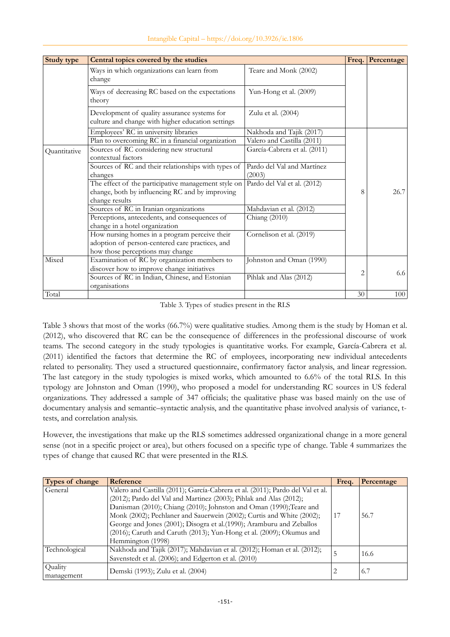| Study type   | Central topics covered by the studies                                                             |                              |                | Freq.<br>Percentage |
|--------------|---------------------------------------------------------------------------------------------------|------------------------------|----------------|---------------------|
|              | Ways in which organizations can learn from<br>change                                              | Teare and Monk (2002)        |                |                     |
|              | Ways of decreasing RC based on the expectations<br>theory                                         | Yun-Hong et al. (2009)       |                |                     |
|              | Development of quality assurance systems for<br>culture and change with higher education settings | Zulu et al. (2004)           |                |                     |
|              | Employees' RC in university libraries                                                             | Nakhoda and Tajik (2017)     |                |                     |
|              | Plan to overcoming RC in a financial organization                                                 | Valero and Castilla (2011)   |                |                     |
| Quantitative | Sources of RC considering new structural<br>contextual factors                                    | García-Cabrera et al. (2011) |                |                     |
|              | Sources of RC and their relationships with types of                                               | Pardo del Val and Martínez   |                |                     |
|              | changes                                                                                           | (2003)                       |                |                     |
|              | The effect of the participative management style on                                               | Pardo del Val et al. (2012)  |                |                     |
|              | change, both by influencing RC and by improving                                                   |                              | 8              | 26.7                |
|              | change results                                                                                    |                              |                |                     |
|              | Sources of RC in Iranian organizations                                                            | Mahdavian et al. (2012)      |                |                     |
|              | Perceptions, antecedents, and consequences of                                                     | Chiang (2010)                |                |                     |
|              | change in a hotel organization                                                                    |                              |                |                     |
|              | How nursing homes in a program perceive their                                                     | Cornelison et al. (2019)     |                |                     |
|              | adoption of person-centered care practices, and                                                   |                              |                |                     |
|              | how those perceptions may change                                                                  |                              |                |                     |
| Mixed        | Examination of RC by organization members to                                                      | Johnston and Oman (1990)     |                |                     |
|              | discover how to improve change initiatives                                                        |                              | $\overline{2}$ | 6.6                 |
|              | Sources of RC in Indian, Chinese, and Estonian                                                    | Pihlak and Alas (2012)       |                |                     |
|              | organisations                                                                                     |                              |                |                     |
| Total        |                                                                                                   |                              | 30             | 100                 |

Table 3. Types of studies present in the RLS

Table 3 shows that most of the works (66.7%) were qualitative studies. Among them is the study by Homan et al. (2012), who discovered that RC can be the consequence of differences in the professional discourse of work teams. The second category in the study typologies is quantitative works. For example, García-Cabrera et al. (2011) identified the factors that determine the RC of employees, incorporating new individual antecedents related to personality. They used a structured questionnaire, confirmatory factor analysis, and linear regression. The last category in the study typologies is mixed works, which amounted to 6.6% of the total RLS. In this typology are Johnston and Oman (1990), who proposed a model for understanding RC sources in US federal organizations. They addressed a sample of 347 officials; the qualitative phase was based mainly on the use of documentary analysis and semantic–syntactic analysis, and the quantitative phase involved analysis of variance, ttests, and correlation analysis.

However, the investigations that make up the RLS sometimes addressed organizational change in a more general sense (not in a specific project or area), but others focused on a specific type of change. Table 4 summarizes the types of change that caused RC that were presented in the RLS.

| Types of change       | Reference                                                                                                                                                                                                                                                                                                                                                                     | Freq. | Percentage |
|-----------------------|-------------------------------------------------------------------------------------------------------------------------------------------------------------------------------------------------------------------------------------------------------------------------------------------------------------------------------------------------------------------------------|-------|------------|
| General               | Valero and Castilla (2011); García-Cabrera et al. (2011); Pardo del Val et al.<br>(2012); Pardo del Val and Martinez (2003); Pihlak and Alas (2012);<br>Danisman (2010); Chiang (2010); Johnston and Oman (1990); Teare and<br>Monk (2002); Pechlaner and Sauerwein (2002); Curtis and White (2002);<br>George and Jones (2001); Disogra et al. (1990); Aramburu and Zeballos | 17    | 56.7       |
|                       | (2016); Caruth and Caruth (2013); Yun-Hong et al. (2009); Okumus and<br>Hemmington (1998)                                                                                                                                                                                                                                                                                     |       |            |
| Technological         | Nakhoda and Tajik (2017); Mahdavian et al. (2012); Homan et al. (2012);<br>Savenstedt et al. (2006); and Edgerton et al. (2010)                                                                                                                                                                                                                                               | 5     | 16.6       |
| Quality<br>management | Demski (1993); Zulu et al. (2004)                                                                                                                                                                                                                                                                                                                                             | 2     | 6.7        |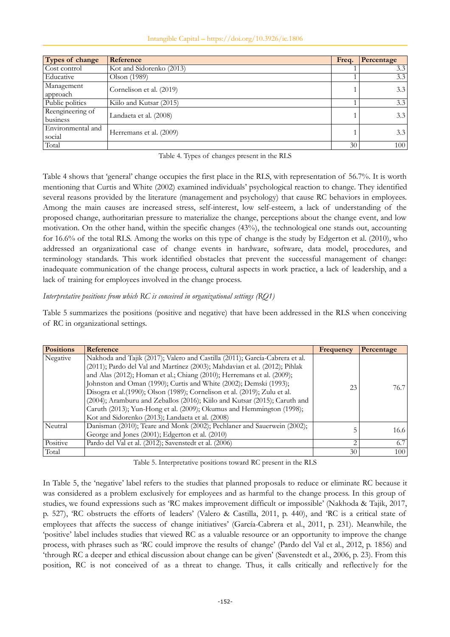#### Intangible Capital – https://doi.org/10.3926/ic.1806

| Types of change   | Reference                | Freq. | Percentage |
|-------------------|--------------------------|-------|------------|
| Cost control      | Kot and Sidorenko (2013) |       | 3.3        |
| Educative         | Olson (1989)             |       | 3.3        |
| Management        |                          |       | 3.3        |
| approach          | Cornelison et al. (2019) |       |            |
| Public politics   | Kiilo and Kutsar (2015)  |       | 3.3        |
| Reengineering of  |                          |       | 3.3        |
| business          | Landaeta et al. (2008)   |       |            |
| Environmental and |                          |       | 3.3        |
| social            | Herremans et al. (2009)  |       |            |
| Total             |                          | 30    | 100        |

Table 4. Types of changes present in the RLS

Table 4 shows that 'general' change occupies the first place in the RLS, with representation of 56.7%. It is worth mentioning that Curtis and White (2002) examined individuals' psychological reaction to change. They identified several reasons provided by the literature (management and psychology) that cause RC behaviors in employees. Among the main causes are increased stress, self-interest, low self-esteem, a lack of understanding of the proposed change, authoritarian pressure to materialize the change, perceptions about the change event, and low motivation. On the other hand, within the specific changes (43%), the technological one stands out, accounting for 16.6% of the total RLS. Among the works on this type of change is the study by Edgerton et al. (2010), who addressed an organizational case of change events in hardware, software, data model, procedures, and terminology standards. This work identified obstacles that prevent the successful management of change: inadequate communication of the change process, cultural aspects in work practice, a lack of leadership, and a lack of training for employees involved in the change process.

### *Interpretative positions from which RC is conceived in organizational settings (RQ1)*

Table 5 summarizes the positions (positive and negative) that have been addressed in the RLS when conceiving of RC in organizational settings.

| <b>Positions</b> | Reference                                                                   | Frequency      | Percentage |
|------------------|-----------------------------------------------------------------------------|----------------|------------|
| Negative         | Nakhoda and Tajik (2017); Valero and Castilla (2011); García-Cabrera et al. |                |            |
|                  | (2011); Pardo del Val and Martínez (2003); Mahdavian et al. (2012); Pihlak  |                |            |
|                  | and Alas (2012); Homan et al.; Chiang (2010); Herremans et al. (2009);      | 23             | 76.7       |
|                  | Johnston and Oman (1990); Curtis and White (2002); Demski (1993);           |                |            |
|                  | Disogra et al.(1990); Olson (1989); Cornelison et al. (2019); Zulu et al.   |                |            |
|                  | (2004); Aramburu and Zeballos (2016); Kiilo and Kutsar (2015); Caruth and   |                |            |
|                  | Caruth (2013); Yun-Hong et al. (2009); Okumus and Hemmington (1998);        |                |            |
|                  | Kot and Sidorenko (2013); Landaeta et al. (2008)                            |                |            |
| Neutral          | Danisman (2010); Teare and Monk (2002); Pechlaner and Sauerwein (2002);     |                | 16.6       |
|                  | George and Jones (2001); Edgerton et al. (2010)                             |                |            |
| Positive         | Pardo del Val et al. (2012); Savenstedt et al. (2006)                       | $\overline{2}$ | 6.7        |
| Total            |                                                                             | 30             | 100        |

Table 5. Interpretative positions toward RC present in the RLS

In Table 5, the 'negative' label refers to the studies that planned proposals to reduce or eliminate RC because it was considered as a problem exclusively for employees and as harmful to the change process. In this group of studies, we found expressions such as 'RC makes improvement difficult or impossible' (Nakhoda & Tajik, 2017, p. 527), 'RC obstructs the efforts of leaders' (Valero & Castilla, 2011, p. 440), and 'RC is a critical state of employees that affects the success of change initiatives' (García-Cabrera et al., 2011, p. 231). Meanwhile, the 'positive' label includes studies that viewed RC as a valuable resource or an opportunity to improve the change process, with phrases such as 'RC could improve the results of change' (Pardo del Val et al., 2012, p. 1856) and 'through RC a deeper and ethical discussion about change can be given' (Savenstedt et al., 2006, p. 23). From this position, RC is not conceived of as a threat to change. Thus, it calls critically and reflective ly for the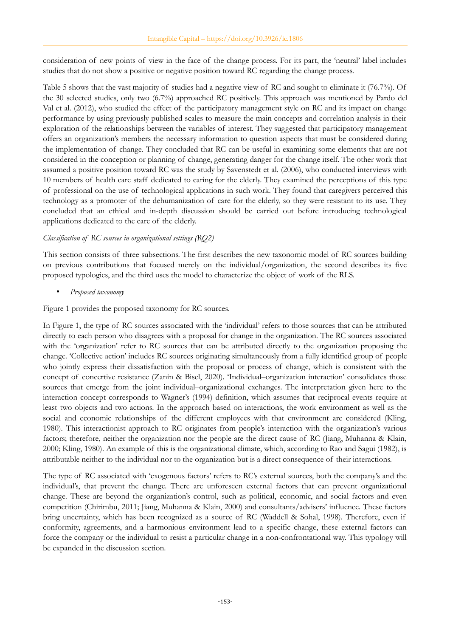consideration of new points of view in the face of the change process. For its part, the 'neutral' label includes studies that do not show a positive or negative position toward RC regarding the change process.

Table 5 shows that the vast majority of studies had a negative view of RC and sought to eliminate it (76.7%). Of the 30 selected studies, only two (6.7%) approached RC positively. This approach was mentioned by Pardo del Val et al. (2012), who studied the effect of the participatory management style on RC and its impact on change performance by using previously published scales to measure the main concepts and correlation analysis in their exploration of the relationships between the variables of interest. They suggested that participatory management offers an organization's members the necessary information to question aspects that must be considered during the implementation of change. They concluded that RC can be useful in examining some elements that are not considered in the conception or planning of change, generating danger for the change itself. The other work that assumed a positive position toward RC was the study by Savenstedt et al. (2006), who conducted interviews with 10 members of health care staff dedicated to caring for the elderly. They examined the perceptions of this type of professional on the use of technological applications in such work. They found that caregivers perceived this technology as a promoter of the dehumanization of care for the elderly, so they were resistant to its use. They concluded that an ethical and in-depth discussion should be carried out before introducing technological applications dedicated to the care of the elderly.

## *Classification of RC sources in organizational settings (RQ2)*

This section consists of three subsections. The first describes the new taxonomic model of RC sources building on previous contributions that focused merely on the individual/organization, the second describes its five proposed typologies, and the third uses the model to characterize the object of work of the RLS.

• *Proposed taxonomy*

Figure 1 provides the proposed taxonomy for RC sources.

In Figure 1, the type of RC sources associated with the 'individual' refers to those sources that can be attributed directly to each person who disagrees with a proposal for change in the organization. The RC sources associated with the 'organization' refer to RC sources that can be attributed directly to the organization proposing the change. 'Collective action' includes RC sources originating simultaneously from a fully identified group of people who jointly express their dissatisfaction with the proposal or process of change, which is consistent with the concept of concertive resistance (Zanin & Bisel, 2020). 'Individual–organization interaction' consolidates those sources that emerge from the joint individual–organizational exchanges. The interpretation given here to the interaction concept corresponds to Wagner's (1994) definition, which assumes that reciprocal events require at least two objects and two actions. In the approach based on interactions, the work environment as well as the social and economic relationships of the different employees with that environment are considered (Kling, 1980). This interactionist approach to RC originates from people's interaction with the organization's various factors; therefore, neither the organization nor the people are the direct cause of RC (Jiang, Muhanna & Klain, 2000; Kling, 1980). An example of this is the organizational climate, which, according to Rao and Sagui (1982), is attributable neither to the individual nor to the organization but is a direct consequence of their interactions.

The type of RC associated with 'exogenous factors' refers to RC's external sources, both the company's and the individual's, that prevent the change. There are unforeseen external factors that can prevent organizational change. These are beyond the organization's control, such as political, economic, and social factors and even competition (Chirimbu, 2011; Jiang, Muhanna & Klain, 2000) and consultants/advisers' influence. These factors bring uncertainty, which has been recognized as a source of RC (Waddell & Sohal, 1998). Therefore, even if conformity, agreements, and a harmonious environment lead to a specific change, these external factors can force the company or the individual to resist a particular change in a non-confrontational way. This typology will be expanded in the discussion section.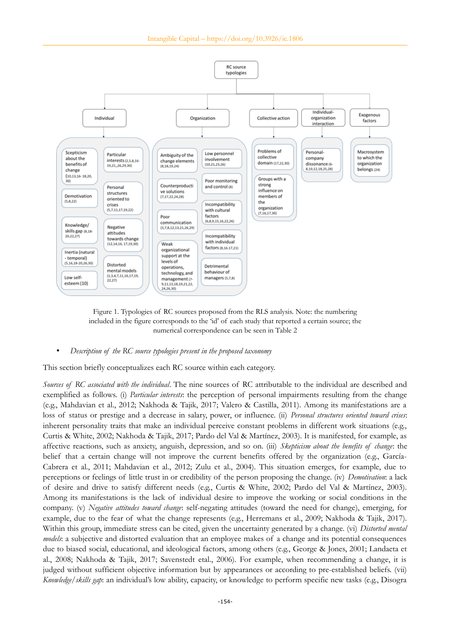

Figure 1. Typologies of RC sources proposed from the RLS analysis. Note: the numbering included in the figure corresponds to the 'id' of each study that reported a certain source; the numerical correspondence can be seen in Table 2

#### • *Description of the RC source typologies present in the proposed taxonomy*

This section briefly conceptualizes each RC source within each category.

*Sources of RC associated with the individual*. The nine sources of RC attributable to the individual are described and exemplified as follows. (i) *Particular interests*: the perception of personal impairments resulting from the change (e.g., Mahdavian et al., 2012; Nakhoda & Tajik, 2017; Valero & Castilla, 2011). Among its manifestations are a loss of status or prestige and a decrease in salary, power, or influence. (ii) *Personal structures oriented toward crises*: inherent personality traits that make an individual perceive constant problems in different work situations (e.g., Curtis & White, 2002; Nakhoda & Tajik, 2017; Pardo del Val & Martínez, 2003). It is manifested, for example, as affective reactions, such as anxiety, anguish, depression, and so on. (iii) *Skepticism about the benefits of change*: the belief that a certain change will not improve the current benefits offered by the organization (e.g., García-Cabrera et al., 2011; Mahdavian et al., 2012; Zulu et al., 2004). This situation emerges, for example, due to perceptions or feelings of little trust in or credibility of the person proposing the change. (iv) *Demotivation*: a lack of desire and drive to satisfy different needs (e.g., Curtis & White, 2002; Pardo del Val & Martínez, 2003). Among its manifestations is the lack of individual desire to improve the working or social conditions in the company. (v) *Negative attitudes toward change*: self-negating attitudes (toward the need for change), emerging, for example, due to the fear of what the change represents (e.g., Herremans et al., 2009; Nakhoda & Tajik, 2017). Within this group, immediate stress can be cited, given the uncertainty generated by a change. (vi) *Distorted mental models*: a subjective and distorted evaluation that an employee makes of a change and its potential consequences due to biased social, educational, and ideological factors, among others (e.g., George & Jones, 2001; Landaeta et al., 2008; Nakhoda & Tajik, 2017; Savenstedt etal., 2006). For example, when recommending a change, it is judged without sufficient objective information but by appearances or according to pre-established beliefs. (vii) *Knowledge/skills gap*: an individual's low ability, capacity, or knowledge to perform specific new tasks (e.g., Disogra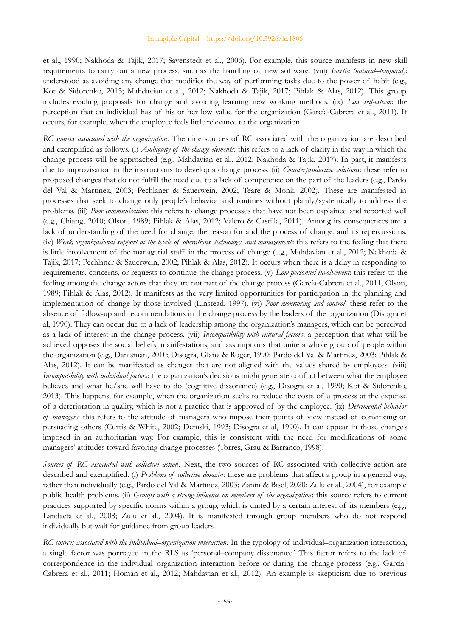et al., 1990; Nakhoda & Tajik, 2017; Savenstedt et al., 2006). For example, this source manifests in new skill requirements to carry out a new process, such as the handling of new software. (viii) *Inertia (natural–temporal)*: understood as avoiding any change that modifies the way of performing tasks due to the power of habit (e.g., Kot & Sidorenko, 2013; Mahdavian et al., 2012; Nakhoda & Tajik, 2017; Pihlak & Alas, 2012). This group includes evading proposals for change and avoiding learning new working methods. (ix) *Low self-esteem*: the perception that an individual has of his or her low value for the organization (García-Cabrera et al., 2011). It occurs, for example, when the employee feels little relevance to the organization.

*RC sources associated with the organization*. The nine sources of RC associated with the organization are described and exemplified as follows. (i) *Ambiguity of the change elements*: this refers to a lack of clarity in the way in which the change process will be approached (e.g., Mahdavian et al., 2012; Nakhoda & Tajik, 2017). In part, it manifests due to improvisation in the instructions to develop a change process. (ii) *Counterproductive solutions*: these refer to proposed changes that do not fulfill the need due to a lack of competence on the part of the leaders (e.g., Pardo del Val & Martínez, 2003; Pechlaner & Sauerwein, 2002; Teare & Monk, 2002). These are manifested in processes that seek to change only people's behavior and routines without plainly/systemically to address the problems. (iii) *Poor communication*: this refers to change processes that have not been explained and reported well (e.g., Chiang, 2010; Olson, 1989; Pihlak & Alas, 2012; Valero & Castilla, 2011). Among its consequences are a lack of understanding of the need for change, the reason for and the process of change, and its repercussions. (iv) *Weak organizational support at the levels of operations, technology, and management*: this refers to the feeling that there is little involvement of the managerial staff in the process of change (e.g., Mahdavian et al., 2012; Nakhoda & Tajik, 2017; Pechlaner & Sauerwein, 2002; Pihlak & Alas, 2012). It occurs when there is a delay in responding to requirements, concerns, or requests to continue the change process. (v) *Low personnel involvement*: this refers to the feeling among the change actors that they are not part of the change process (García-Cabrera et al., 2011; Olson, 1989; Pihlak & Alas, 2012). It manifests as the very limited opportunities for participation in the planning and implementation of change by those involved (Linstead, 1997). (vi) *Poor monitoring and control*: these refer to the absence of follow-up and recommendations in the change process by the leaders of the organization (Disogra et al, 1990). They can occur due to a lack of leadership among the organization's managers, which can be perceived as a lack of interest in the change process. (vii) *Incompatibility with cultural factors*: a perception that what will be achieved opposes the social beliefs, manifestations, and assumptions that unite a whole group of people within the organization (e.g., Danisman, 2010; Disogra, Glanz & Roger, 1990; Pardo del Val & Martinez, 2003; Pihlak & Alas, 2012). It can be manifested as changes that are not aligned with the values shared by employees. (viii) *Incompatibility with individual factors*: the organization's decisions might generate conflict between what the employee believes and what he/she will have to do (cognitive dissonance) (e.g., Disogra et al, 1990; Kot & Sidorenko, 2013). This happens, for example, when the organization seeks to reduce the costs of a process at the expense of a deterioration in quality, which is not a practice that is approved of by the employee. (ix) *Detrimental behavior of managers*: this refers to the attitude of managers who impose their points of view instead of convincing or persuading others (Curtis & White, 2002; Demski, 1993; Disogra et al, 1990). It can appear in those change s imposed in an authoritarian way. For example, this is consistent with the need for modifications of some managers' attitudes toward favoring change processes (Torres, Grau & Barranco, 1998).

*Sources of RC associated with collective action*. Next, the two sources of RC associated with collective action are described and exemplified. (i) *Problems of collective domain*: these are problems that affect a group in a general way, rather than individually (e.g., Pardo del Val & Martinez, 2003; Zanin & Bisel, 2020; Zulu et al., 2004), for example public health problems. (ii) *Groups with a strong influence on members of the organization*: this source refers to current practices supported by specific norms within a group, which is united by a certain interest of its members (e.g., Landaeta et al., 2008; Zulu et al., 2004). It is manifested through group members who do not respond individually but wait for guidance from group leaders.

*RC sources associated with the individual–organization interaction*. In the typology of individual–organization interaction, a single factor was portrayed in the RLS as 'personal–company dissonance.' This factor refers to the lack of correspondence in the individual–organization interaction before or during the change process (e.g., García-Cabrera et al., 2011; Homan et al., 2012; Mahdavian et al., 2012). An example is skepticism due to previous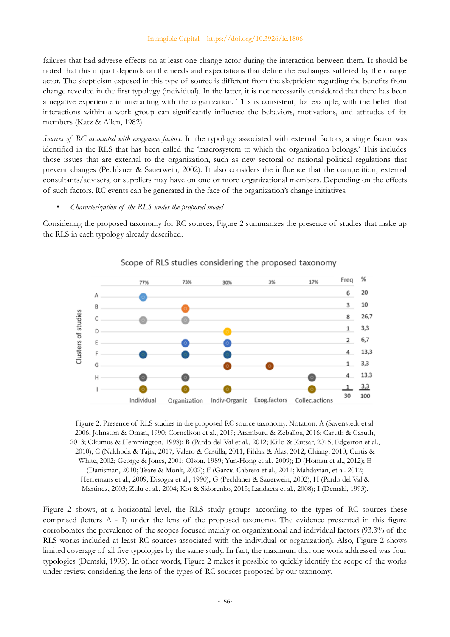failures that had adverse effects on at least one change actor during the interaction between them. It should be noted that this impact depends on the needs and expectations that define the exchanges suffered by the change actor. The skepticism exposed in this type of source is different from the skepticism regarding the benefits from change revealed in the first typology (individual). In the latter, it is not necessarily considered that there has been a negative experience in interacting with the organization. This is consistent, for example, with the belief that interactions within a work group can significantly influence the behaviors, motivations, and attitudes of its members (Katz & Allen, 1982).

*Sources of RC associated with exogenous factors*. In the typology associated with external factors, a single factor was identified in the RLS that has been called the 'macrosystem to which the organization belongs.' This includes those issues that are external to the organization, such as new sectoral or national political regulations that prevent changes (Pechlaner & Sauerwein, 2002). It also considers the influence that the competition, external consultants/advisers, or suppliers may have on one or more organizational members. Depending on the effects of such factors, RC events can be generated in the face of the organization's change initiatives.

#### • *Characterization of the RLS under the proposed model*

Considering the proposed taxonomy for RC sources, Figure 2 summarizes the presence of studies that make up the RLS in each typology already described.



#### Scope of RLS studies considering the proposed taxonomy

Figure 2. Presence of RLS studies in the proposed RC source taxonomy. Notation: A (Savenstedt et al. 2006; Johnston & Oman, 1990; Cornelison et al., 2019; Aramburu & Zeballos, 2016; Caruth & Caruth, 2013; Okumus & Hemmington, 1998); B (Pardo del Val et al., 2012; Kiilo & Kutsar, 2015; Edgerton et al., 2010); C (Nakhoda & Tajik, 2017; Valero & Castilla, 2011; Pihlak & Alas, 2012; Chiang, 2010; Curtis & White, 2002; George & Jones, 2001; Olson, 1989; Yun-Hong et al., 2009); D (Homan et al., 2012); E (Danisman, 2010; Teare & Monk, 2002); F (García-Cabrera et al., 2011; Mahdavian, et al. 2012; Herremans et al., 2009; Disogra et al., 1990); G (Pechlaner & Sauerwein, 2002); H (Pardo del Val & Martinez, 2003; Zulu et al., 2004; Kot & Sidorenko, 2013; Landaeta et al., 2008); I (Demski, 1993).

Figure 2 shows, at a horizontal level, the RLS study groups according to the types of RC sources these comprised (letters A - I) under the lens of the proposed taxonomy. The evidence presented in this figure corroborates the prevalence of the scopes focused mainly on organizational and individual factors (93.3% of the RLS works included at least RC sources associated with the individual or organization). Also, Figure 2 shows limited coverage of all five typologies by the same study. In fact, the maximum that one work addressed was four typologies (Demski, 1993). In other words, Figure 2 makes it possible to quickly identify the scope of the works under review, considering the lens of the types of RC sources proposed by our taxonomy.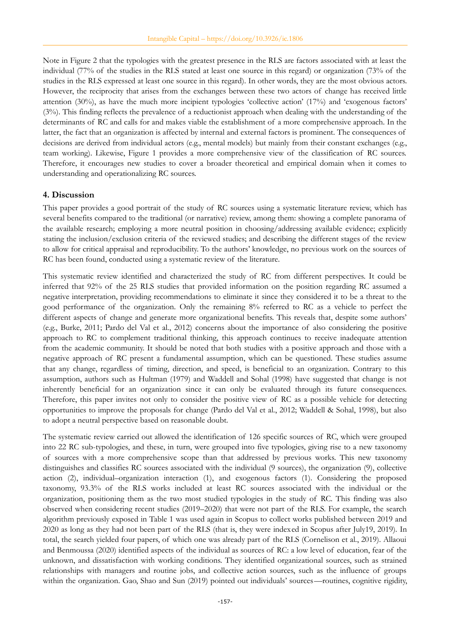Note in Figure 2 that the typologies with the greatest presence in the RLS are factors associated with at least the individual (77% of the studies in the RLS stated at least one source in this regard) or organization (73% of the studies in the RLS expressed at least one source in this regard). In other words, they are the most obvious actors. However, the reciprocity that arises from the exchanges between these two actors of change has received little attention (30%), as have the much more incipient typologies 'collective action' (17%) and 'exogenous factors' (3%). This finding reflects the prevalence of a reductionist approach when dealing with the understanding of the determinants of RC and calls for and makes viable the establishment of a more comprehensive approach. In the latter, the fact that an organization is affected by internal and external factors is prominent. The consequences of decisions are derived from individual actors (e.g., mental models) but mainly from their constant exchanges (e.g., team working). Likewise, Figure 1 provides a more comprehensive view of the classification of RC sources. Therefore, it encourages new studies to cover a broader theoretical and empirical domain when it comes to understanding and operationalizing RC sources.

#### **4. Discussion**

This paper provides a good portrait of the study of RC sources using a systematic literature review, which has several benefits compared to the traditional (or narrative) review, among them: showing a complete panorama of the available research; employing a more neutral position in choosing/addressing available evidence; explicitly stating the inclusion/exclusion criteria of the reviewed studies; and describing the different stages of the review to allow for critical appraisal and reproducibility. To the authors' knowledge, no previous work on the sources of RC has been found, conducted using a systematic review of the literature.

This systematic review identified and characterized the study of RC from different perspectives. It could be inferred that 92% of the 25 RLS studies that provided information on the position regarding RC assumed a negative interpretation, providing recommendations to eliminate it since they considered it to be a threat to the good performance of the organization. Only the remaining 8% referred to RC as a vehicle to perfect the different aspects of change and generate more organizational benefits. This reveals that, despite some authors' (e.g., Burke, 2011; Pardo del Val et al., 2012) concerns about the importance of also considering the positive approach to RC to complement traditional thinking, this approach continues to receive inadequate attention from the academic community. It should be noted that both studies with a positive approach and those with a negative approach of RC present a fundamental assumption, which can be questioned. These studies assume that any change, regardless of timing, direction, and speed, is beneficial to an organization. Contrary to this assumption, authors such as Hultman (1979) and Waddell and Sohal (1998) have suggested that change is not inherently beneficial for an organization since it can only be evaluated through its future consequences. Therefore, this paper invites not only to consider the positive view of RC as a possible vehicle for detecting opportunities to improve the proposals for change (Pardo del Val et al., 2012; Waddell & Sohal, 1998), but also to adopt a neutral perspective based on reasonable doubt.

The systematic review carried out allowed the identification of 126 specific sources of RC, which were grouped into 22 RC sub-typologies, and these, in turn, were grouped into five typologies, giving rise to a new taxonomy of sources with a more comprehensive scope than that addressed by previous works. This new taxonomy distinguishes and classifies RC sources associated with the individual (9 sources), the organization (9), collective action (2), individual–organization interaction (1), and exogenous factors (1). Considering the proposed taxonomy, 93.3% of the RLS works included at least RC sources associated with the individual or the organization, positioning them as the two most studied typologies in the study of RC. This finding was also observed when considering recent studies (2019–2020) that were not part of the RLS. For example, the search algorithm previously exposed in Table 1 was used again in Scopus to collect works published between 2019 and 2020 as long as they had not been part of the RLS (that is, they were indexed in Scopus after July19, 2019). In total, the search yielded four papers, of which one was already part of the RLS (Cornelison et al., 2019). Allaoui and Benmoussa (2020) identified aspects of the individual as sources of RC: a low level of education, fear of the unknown, and dissatisfaction with working conditions. They identified organizational sources, such as strained relationships with managers and routine jobs, and collective action sources, such as the influence of groups within the organization. Gao, Shao and Sun (2019) pointed out individuals' sources—routines, cognitive rigidity,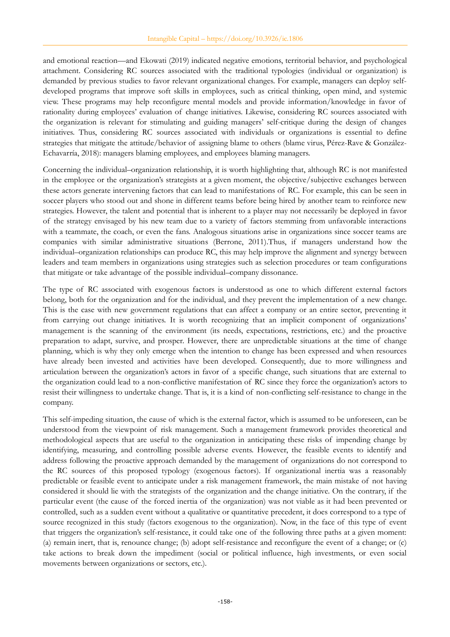and emotional reaction—and Ekowati (2019) indicated negative emotions, territorial behavior, and psychological attachment. Considering RC sources associated with the traditional typologies (individual or organization) is demanded by previous studies to favor relevant organizational changes. For example, managers can deploy selfdeveloped programs that improve soft skills in employees, such as critical thinking, open mind, and systemic view. These programs may help reconfigure mental models and provide information/knowledge in favor of rationality during employees' evaluation of change initiatives. Likewise, considering RC sources associated with the organization is relevant for stimulating and guiding managers' self-critique during the design of changes initiatives. Thus, considering RC sources associated with individuals or organizations is essential to define strategies that mitigate the attitude/behavior of assigning blame to others (blame virus, Pérez-Rave & González-Echavarría, 2018): managers blaming employees, and employees blaming managers.

Concerning the individual–organization relationship, it is worth highlighting that, although RC is not manifested in the employee or the organization's strategists at a given moment, the objective/subjective exchanges between these actors generate intervening factors that can lead to manifestations of RC. For example, this can be seen in soccer players who stood out and shone in different teams before being hired by another team to reinforce new strategies. However, the talent and potential that is inherent to a player may not necessarily be deployed in favor of the strategy envisaged by his new team due to a variety of factors stemming from unfavorable interactions with a teammate, the coach, or even the fans. Analogous situations arise in organizations since soccer teams are companies with similar administrative situations (Berrone, 2011).Thus, if managers understand how the individual–organization relationships can produce RC, this may help improve the alignment and synergy between leaders and team members in organizations using strategies such as selection procedures or team configurations that mitigate or take advantage of the possible individual–company dissonance.

The type of RC associated with exogenous factors is understood as one to which different external factors belong, both for the organization and for the individual, and they prevent the implementation of a new change. This is the case with new government regulations that can affect a company or an entire sector, preventing it from carrying out change initiatives. It is worth recognizing that an implicit component of organizations' management is the scanning of the environment (its needs, expectations, restrictions, etc.) and the proactive preparation to adapt, survive, and prosper. However, there are unpredictable situations at the time of change planning, which is why they only emerge when the intention to change has been expressed and when resources have already been invested and activities have been developed. Consequently, due to more willingness and articulation between the organization's actors in favor of a specific change, such situations that are external to the organization could lead to a non-conflictive manifestation of RC since they force the organization's actors to resist their willingness to undertake change. That is, it is a kind of non-conflicting self-resistance to change in the company.

This self-impeding situation, the cause of which is the external factor, which is assumed to be unforeseen, can be understood from the viewpoint of risk management. Such a management framework provides theoretical and methodological aspects that are useful to the organization in anticipating these risks of impending change by identifying, measuring, and controlling possible adverse events. However, the feasible events to identify and address following the proactive approach demanded by the management of organizations do not correspond to the RC sources of this proposed typology (exogenous factors). If organizational inertia was a reasonably predictable or feasible event to anticipate under a risk management framework, the main mistake of not having considered it should lie with the strategists of the organization and the change initiative. On the contrary, if the particular event (the cause of the forced inertia of the organization) was not viable as it had been prevented or controlled, such as a sudden event without a qualitative or quantitative precedent, it does correspond to a type of source recognized in this study (factors exogenous to the organization). Now, in the face of this type of event that triggers the organization's self-resistance, it could take one of the following three paths at a given moment: (a) remain inert, that is, renounce change; (b) adopt self-resistance and reconfigure the event of a change; or (c) take actions to break down the impediment (social or political influence, high investments, or even social movements between organizations or sectors, etc.).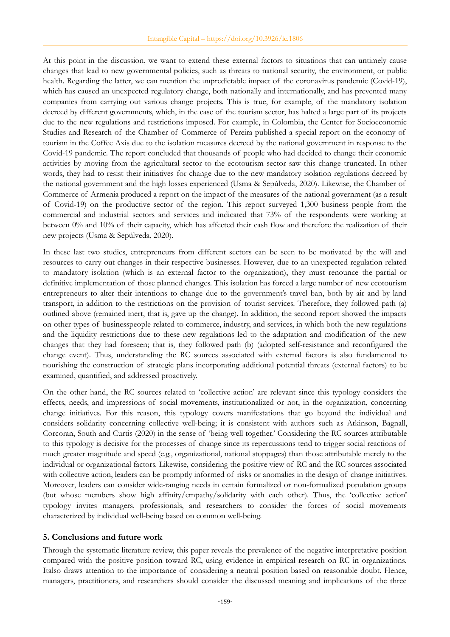At this point in the discussion, we want to extend these external factors to situations that can untimely cause changes that lead to new governmental policies, such as threats to national security, the environment, or public health. Regarding the latter, we can mention the unpredictable impact of the coronavirus pandemic (Covid-19), which has caused an unexpected regulatory change, both nationally and internationally, and has prevented many companies from carrying out various change projects. This is true, for example, of the mandatory isolation decreed by different governments, which, in the case of the tourism sector, has halted a large part of its projects due to the new regulations and restrictions imposed. For example, in Colombia, the Center for Socioeconomic Studies and Research of the Chamber of Commerce of Pereira published a special report on the economy of tourism in the Coffee Axis due to the isolation measures decreed by the national government in response to the Covid-19 pandemic. The report concluded that thousands of people who had decided to change their economic activities by moving from the agricultural sector to the ecotourism sector saw this change truncated. In other words, they had to resist their initiatives for change due to the new mandatory isolation regulations decreed by the national government and the high losses experienced (Usma & Sepúlveda, 2020). Likewise, the Chamber of Commerce of Armenia produced a report on the impact of the measures of the national government (as a result of Covid-19) on the productive sector of the region. This report surveyed 1,300 business people from the commercial and industrial sectors and services and indicated that 73% of the respondents were working at between 0% and 10% of their capacity, which has affected their cash flow and therefore the realization of their new projects (Usma & Sepúlveda, 2020).

In these last two studies, entrepreneurs from different sectors can be seen to be motivated by the will and resources to carry out changes in their respective businesses. However, due to an unexpected regulation related to mandatory isolation (which is an external factor to the organization), they must renounce the partial or definitive implementation of those planned changes. This isolation has forced a large number of new ecotourism entrepreneurs to alter their intentions to change due to the government's travel ban, both by air and by land transport, in addition to the restrictions on the provision of tourist services. Therefore, they followed path (a) outlined above (remained inert, that is, gave up the change). In addition, the second report showed the impacts on other types of businesspeople related to commerce, industry, and services, in which both the new regulations and the liquidity restrictions due to these new regulations led to the adaptation and modification of the new changes that they had foreseen; that is, they followed path (b) (adopted self-resistance and reconfigured the change event). Thus, understanding the RC sources associated with external factors is also fundamental to nourishing the construction of strategic plans incorporating additional potential threats (external factors) to be examined, quantified, and addressed proactively.

On the other hand, the RC sources related to 'collective action' are relevant since this typology considers the effects, needs, and impressions of social movements, institutionalized or not, in the organization, concerning change initiatives. For this reason, this typology covers manifestations that go beyond the individual and considers solidarity concerning collective well-being; it is consistent with authors such as Atkinson, Bagnall, Corcoran, South and Curtis (2020) in the sense of 'being well together.' Considering the RC sources attributable to this typology is decisive for the processes of change since its repercussions tend to trigger social reactions of much greater magnitude and speed (e.g., organizational, national stoppages) than those attributable merely to the individual or organizational factors. Likewise, considering the positive view of RC and the RC sources associated with collective action, leaders can be promptly informed of risks or anomalies in the design of change initiatives. Moreover, leaders can consider wide-ranging needs in certain formalized or non-formalized population groups (but whose members show high affinity/empathy/solidarity with each other). Thus, the 'collective action' typology invites managers, professionals, and researchers to consider the forces of social movements characterized by individual well-being based on common well-being.

#### **5. Conclusions and future work**

Through the systematic literature review, this paper reveals the prevalence of the negative interpretative position compared with the positive position toward RC, using evidence in empirical research on RC in organizations. Italso draws attention to the importance of considering a neutral position based on reasonable doubt. Hence, managers, practitioners, and researchers should consider the discussed meaning and implications of the three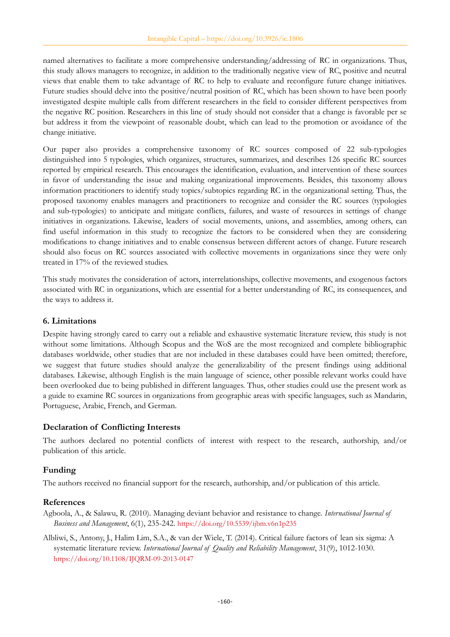named alternatives to facilitate a more comprehensive understanding/addressing of RC in organizations. Thus, this study allows managers to recognize, in addition to the traditionally negative view of RC, positive and neutral views that enable them to take advantage of RC to help to evaluate and reconfigure future change initiatives. Future studies should delve into the positive/neutral position of RC, which has been shown to have been poorly investigated despite multiple calls from different researchers in the field to consider different perspectives from the negative RC position. Researchers in this line of study should not consider that a change is favorable per se but address it from the viewpoint of reasonable doubt, which can lead to the promotion or avoidance of the change initiative.

Our paper also provides a comprehensive taxonomy of RC sources composed of 22 sub-typologies distinguished into 5 typologies, which organizes, structures, summarizes, and describes 126 specific RC sources reported by empirical research. This encourages the identification, evaluation, and intervention of these sources in favor of understanding the issue and making organizational improvements. Besides, this taxonomy allows information practitioners to identify study topics/subtopics regarding RC in the organizational setting. Thus, the proposed taxonomy enables managers and practitioners to recognize and consider the RC sources (typologies and sub-typologies) to anticipate and mitigate conflicts, failures, and waste of resources in settings of change initiatives in organizations. Likewise, leaders of social movements, unions, and assemblies, among others, can find useful information in this study to recognize the factors to be considered when they are considering modifications to change initiatives and to enable consensus between different actors of change. Future research should also focus on RC sources associated with collective movements in organizations since they were only treated in 17% of the reviewed studies.

This study motivates the consideration of actors, interrelationships, collective movements, and exogenous factors associated with RC in organizations, which are essential for a better understanding of RC, its consequences, and the ways to address it.

## **6. Limitations**

Despite having strongly cared to carry out a reliable and exhaustive systematic literature review, this study is not without some limitations. Although Scopus and the WoS are the most recognized and complete bibliographic databases worldwide, other studies that are not included in these databases could have been omitted; therefore, we suggest that future studies should analyze the generalizability of the present findings using additional databases. Likewise, although English is the main language of science, other possible relevant works could have been overlooked due to being published in different languages. Thus, other studies could use the present work as a guide to examine RC sources in organizations from geographic areas with specific languages, such as Mandarin, Portuguese, Arabic, French, and German.

## **Declaration of Conflicting Interests**

The authors declared no potential conflicts of interest with respect to the research, authorship, and/or publication of this article.

## **Funding**

The authors received no financial support for the research, authorship, and/or publication of this article.

## **References**

Agboola, A., & Salawu, R. (2010). Managing deviant behavior and resistance to change. *International Journal of Business and Management*, 6(1), 235-242. <https://doi.org/10.5539/ijbm.v6n1p235>

Albliwi, S., Antony, J., Halim Lim, S.A., & van der Wiele, T. (2014). Critical failure factors of lean six sigma: A systematic literature review. *International Journal of Quality and Reliability Management*, 31(9), 1012-1030. <https://doi.org/10.1108/IJQRM-09-2013-0147>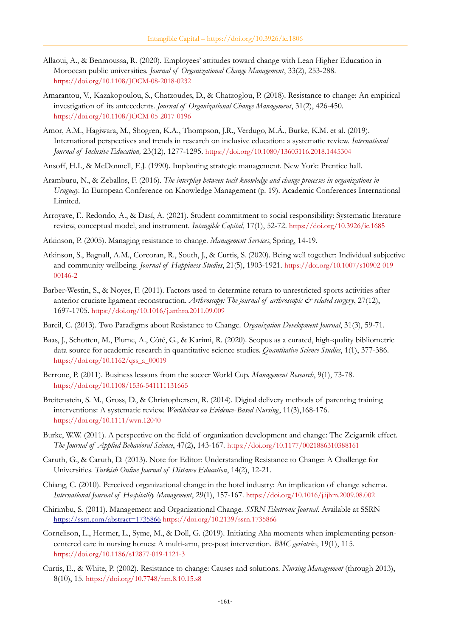- Allaoui, A., & Benmoussa, R. (2020). Employees' attitudes toward change with Lean Higher Education in Moroccan public universities. *Journal of Organizational Change Management*, 33(2), 253-288. <https://doi.org/10.1108/JOCM-08-2018-0232>
- Amarantou, V., Kazakopoulou, S., Chatzoudes, D., & Chatzoglou, P. (2018). Resistance to change: An empirical investigation of its antecedents. *Journal of Organizational Change Management*, 31(2), 426-450. <https://doi.org/10.1108/JOCM-05-2017-0196>
- Amor, A.M., Hagiwara, M., Shogren, K.A., Thompson, J.R., Verdugo, M.Á., Burke, K.M. et al. (2019). International perspectives and trends in research on inclusive education: a systematic review. *International Journal of Inclusive Education,* 23(12), 1277-1295. <https://doi.org/10.1080/13603116.2018.1445304>
- Ansoff, H.I., & McDonnell, E.J. (1990). Implanting strategic management. New York: Prentice hall.
- Aramburu, N., & Zeballos, F. (2016). *The interplay between tacit knowledge and change processes in organizations in Uruguay*. In European Conference on Knowledge Management (p. 19). Academic Conferences International Limited.
- Arroyave, F., Redondo, A., & Dasí, A. (2021). Student commitment to social responsibility: Systematic literature review, conceptual model, and instrument. *Intangible Capital*, 17(1), 52-72. <https://doi.org/10.3926/ic.1685>
- Atkinson, P. (2005). Managing resistance to change. *Management Services*, Spring, 14-19.
- Atkinson, S., Bagnall, A.M., Corcoran, R., South, J., & Curtis, S. (2020). Being well together: Individual subjective and community wellbeing. *Journal of Happiness Studies*, 21(5), 1903-1921. [https://doi.org/10.1007/s10902-019-](https://doi.org/10.1007/s10902-019-00146-2) [00146-2](https://doi.org/10.1007/s10902-019-00146-2)
- Barber-Westin, S., & Noyes, F. (2011). Factors used to determine return to unrestricted sports activities after anterior cruciate ligament reconstruction. Arthroscopy: The journal of arthroscopic  $\mathcal{O}^*$  related surgery, 27(12), 1697-1705. <https://doi.org/10.1016/j.arthro.2011.09.009>
- Bareil, C. (2013). Two Paradigms about Resistance to Change. *Organization Development Journal*, 31(3), 59-71.
- Baas, J., Schotten, M., Plume, A., Côté, G., & Karimi, R. (2020). Scopus as a curated, high-quality bibliometric data source for academic research in quantitative science studies. *Quantitative Science Studies*, 1(1), 377-386. [https://doi.org/10.1162/qss\\_a\\_00019](https://doi.org/10.1162/qss_a_00019)
- Berrone, P. (2011). Business lessons from the soccer World Cup. *Management Research*, 9(1), 73-78. <https://doi.org/10.1108/1536-541111131665>
- Breitenstein, S. M., Gross, D., & Christophersen, R. (2014). Digital delivery methods of parenting training interventions: A systematic review. *Worldviews on Evidence-Based Nursing*, 11(3), 168-176. <https://doi.org/10.1111/wvn.12040>
- Burke, W.W. (2011). A perspective on the field of organization development and change: The Zeigarnik effect. *The Journal of Applied Behavioral Science*, 47(2), 143-167. <https://doi.org/10.1177/0021886310388161>
- Caruth, G., & Caruth, D. (2013). Note for Editor: Understanding Resistance to Change: A Challenge for Universities. *Turkish Online Journal of Distance Education*, 14(2), 12-21.
- Chiang, C. (2010). Perceived organizational change in the hotel industry: An implication of change schema. *International Journal of Hospitality Management*, 29(1), 157-167. <https://doi.org/10.1016/j.ijhm.2009.08.002>
- Chirimbu, S. (2011). Management and Organizational Change. *SSRN Electronic Journal*. Available at SSRN <https://ssrn.com/abstract=1735866> <https://doi.org/10.2139/ssrn.1735866>
- Cornelison, L., Hermer, L., Syme, M., & Doll, G. (2019). Initiating Aha moments when implementing personcentered care in nursing homes: A multi-arm, pre-post intervention. *BMC geriatrics*, 19(1), 115. <https://doi.org/10.1186/s12877-019-1121-3>
- Curtis, E., & White, P. (2002). Resistance to change: Causes and solutions. *Nursing Management* (through 2013), 8(10), 15. <https://doi.org/10.7748/nm.8.10.15.s8>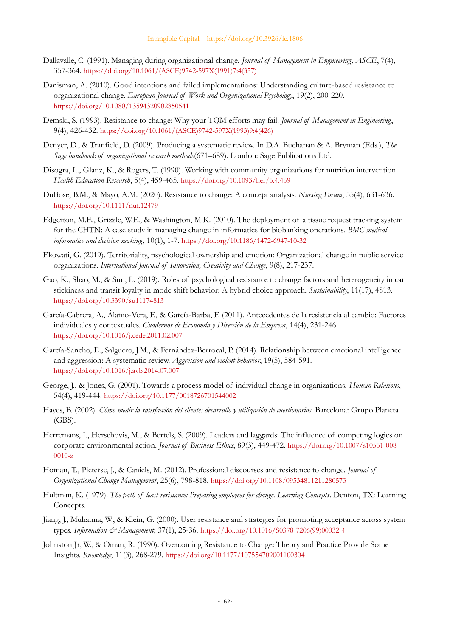- Dallavalle, C. (1991). Managing during organizational change. *Journal of Management in Engineering, ASCE*, 7(4), 357-364. [https://doi.org/10.1061/\(ASCE\)9742-597X\(1991\)7:4\(357\)](https://doi.org/10.1061/(ASCE)9742-597X(1991)7:4(357))
- Danisman, A. (2010). Good intentions and failed implementations: Understanding culture-based resistance to organizational change. *European Journal of Work and Organizational Psychology*, 19(2), 200-220. <https://doi.org/10.1080/13594320902850541>
- Demski, S. (1993). Resistance to change: Why your TQM efforts may fail. *Journal of Management in Engineering*, 9(4), 426-432. [https://doi.org/10.1061/\(ASCE\)9742-597X\(1993\)9:4\(426\)](https://doi.org/10.1061/(ASCE)9742-597X(1993)9:4(426))
- Denyer, D., & Tranfield, D. (2009). Producing a systematic review. In D.A. Buchanan & A. Bryman (Eds.), *The Sage handbook of organizational research methods*(671–689). London: Sage Publications Ltd.
- Disogra, L., Glanz, K., & Rogers, T. (1990). Working with community organizations for nutrition intervention. *Health Education Research*, 5(4), 459-465. <https://doi.org/10.1093/her/5.4.459>
- DuBose, B.M., & Mayo, A.M. (2020). Resistance to change: A concept analysis. *Nursing Forum*, 55(4), 631-636. <https://doi.org/10.1111/nuf.12479>
- Edgerton, M.E., Grizzle, W.E., & Washington, M.K. (2010). The deployment of a tissue request tracking system for the CHTN: A case study in managing change in informatics for biobanking operations. *BMC medical informatics and decision making*, 10(1), 1-7. <https://doi.org/10.1186/1472-6947-10-32>
- Ekowati, G. (2019). Territoriality, psychological ownership and emotion: Organizational change in public service organizations. *International Journal of Innovation, Creativity and Change*, 9(8), 217-237.
- Gao, K., Shao, M., & Sun, L. (2019). Roles of psychological resistance to change factors and heterogeneity in car stickiness and transit loyalty in mode shift behavior: A hybrid choice approach. *Sustainability*, 11(17), 4813. <https://doi.org/10.3390/su11174813>
- García-Cabrera, A., Álamo-Vera, F., & García-Barba, F. (2011). Antecedentes de la resistencia al cambio: Factores individuales y contextuales. *Cuadernos de Economía y Dirección de la Empresa*, 14(4), 231-246. <https://doi.org/10.1016/j.cede.2011.02.007>
- García-Sancho, E., Salguero, J.M., & Fernández-Berrocal, P. (2014). Relationship between emotional intelligence and aggression: A systematic review. *Aggression and violent behavior*, 19(5), 584-591. <https://doi.org/10.1016/j.avb.2014.07.007>
- George, J., & Jones, G. (2001). Towards a process model of individual change in organizations. *Human Relations*, 54(4), 419-444. <https://doi.org/10.1177/0018726701544002>
- Hayes, B. (2002). *Cómo medir la satisfacción del cliente: desarrollo y utilización de cuestionarios*. Barcelona: Grupo Planeta (GBS).
- Herremans, I., Herschovis, M., & Bertels, S. (2009). Leaders and laggards: The influence of competing logics on corporate environmental action. *Journal of Business Ethics*, 89(3), 449-472. [https://doi.org/10.1007/s10551-008-](https://doi.org/10.1007/s10551-008-0010-z) [0010-z](https://doi.org/10.1007/s10551-008-0010-z)
- Homan, T., Pieterse, J., & Caniels, M. (2012). Professional discourses and resistance to change. *Journal of Organizational Change Management*, 25(6), 798-818. <https://doi.org/10.1108/09534811211280573>
- Hultman, K. (1979). *The path of least resistance: Preparing employees for change. Learning Concepts*. Denton, TX: Learning Concepts.
- Jiang, J., Muhanna, W., & Klein, G. (2000). User resistance and strategies for promoting acceptance across system types. *Information & Management*, 37(1), 25-36. [https://doi.org/10.1016/S0378-7206\(99\)00032-4](https://doi.org/10.1016/S0378-7206(99)00032-4)
- Johnston Jr, W., & Oman, R. (1990). Overcoming Resistance to Change: Theory and Practice Provide Some Insights. *Knowledge*, 11(3), 268-279. <https://doi.org/10.1177/107554709001100304>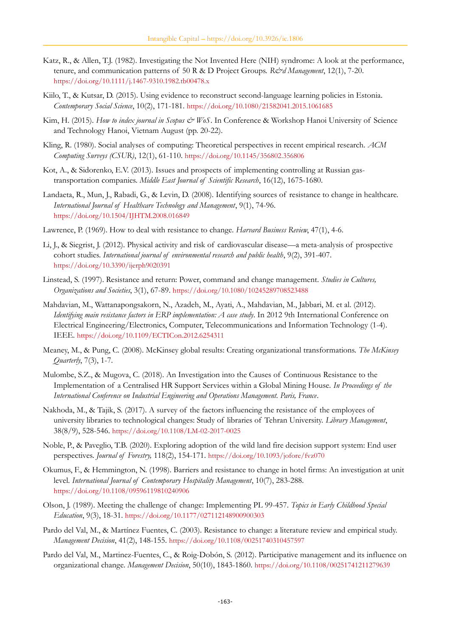- Katz, R., & Allen, T.J. (1982). Investigating the Not Invented Here (NIH) syndrome: A look at the performance, tenure, and communication patterns of 50 R & D Project Groups. *R&d Management*, 12(1), 7-20. <https://doi.org/10.1111/j.1467-9310.1982.tb00478.x>
- Kiilo, T., & Kutsar, D. (2015). Using evidence to reconstruct second-language learning policies in Estonia. *Contemporary Social Science*, 10(2), 171-181. <https://doi.org/10.1080/21582041.2015.1061685>
- Kim, H. (2015). *How to index journal in Scopus & WoS*. In Conference & Workshop Hanoi University of Science and Technology Hanoi, Vietnam August (pp. 20-22).
- Kling, R. (1980). Social analyses of computing: Theoretical perspectives in recent empirical research. *ACM Computing Surveys (CSUR)*, 12(1), 61-110. <https://doi.org/10.1145/356802.356806>
- Kot, A., & Sidorenko, E.V. (2013). Issues and prospects of implementing controlling at Russian gastransportation companies. *Middle East Journal of Scientific Research*, 16(12), 1675-1680.
- Landaeta, R., Mun, J., Rabadi, G., & Levin, D. (2008). Identifying sources of resistance to change in healthcare. *International Journal of Healthcare Technology and Management*, 9(1), 74-96. <https://doi.org/10.1504/IJHTM.2008.016849>
- Lawrence, P. (1969). How to deal with resistance to change. *Harvard Business Review*, 47(1), 4-6.
- Li, J., & Siegrist, J. (2012). Physical activity and risk of cardiovascular disease—a meta-analysis of prospective cohort studies. *International journal of environmental research and public health*, 9(2), 391-407. <https://doi.org/10.3390/ijerph9020391>
- Linstead, S. (1997). Resistance and return: Power, command and change management. *Studies in Cultures, Organizations and Societies*, 3(1), 67-89. <https://doi.org/10.1080/10245289708523488>
- Mahdavian, M., Wattanapongsakorn, N., Azadeh, M., Ayati, A., Mahdavian, M., Jabbari, M. et al. (2012). *Identifying main resistance factors in ERP implementation: A case study*. In 2012 9th International Conference on Electrical Engineering/Electronics, Computer, Telecommunications and Information Technology (1-4). IEEE. <https://doi.org/10.1109/ECTICon.2012.6254311>
- Meaney, M., & Pung, C. (2008). McKinsey global results: Creating organizational transformations. *The McKinsey Quarterly*, 7(3), 1-7.
- Mulombe, S.Z., & Mugova, C. (2018). An Investigation into the Causes of Continuous Resistance to the Implementation of a Centralised HR Support Services within a Global Mining House. *In Proceedings of the International Conference on Industrial Engineering and Operations Management. Paris, France*.
- Nakhoda, M., & Tajik, S. (2017). A survey of the factors influencing the resistance of the employees of university libraries to technological changes: Study of libraries of Tehran University. *Library Management*, 38(8/9), 528-546. <https://doi.org/10.1108/LM-02-2017-0025>
- Noble, P., & Paveglio, T.B. (2020). Exploring adoption of the wild land fire decision support system: End user perspectives. *Journal of Forestry,* 118(2), 154-171. <https://doi.org/10.1093/jofore/fvz070>
- Okumus, F., & Hemmington, N. (1998). Barriers and resistance to change in hotel firms: An investigation at unit level. *International Journal of Contemporary Hospitality Management*, 10(7), 283-288. <https://doi.org/10.1108/09596119810240906>
- Olson, J. (1989). Meeting the challenge of change: Implementing PL 99-457. *Topics in Early Childhood Special Education*, 9(3), 18-31. <https://doi.org/10.1177/027112148900900303>
- Pardo del Val, M., & Martínez Fuentes, C. (2003). Resistance to change: a literature review and empirical study. *Management Decision*, 41(2), 148-155. <https://doi.org/10.1108/00251740310457597>
- Pardo del Val, M., Martinez-Fuentes, C., & Roig-Dobón, S. (2012). Participative management and its influence on organizational change. *Management Decision*, 50(10), 1843-1860. <https://doi.org/10.1108/00251741211279639>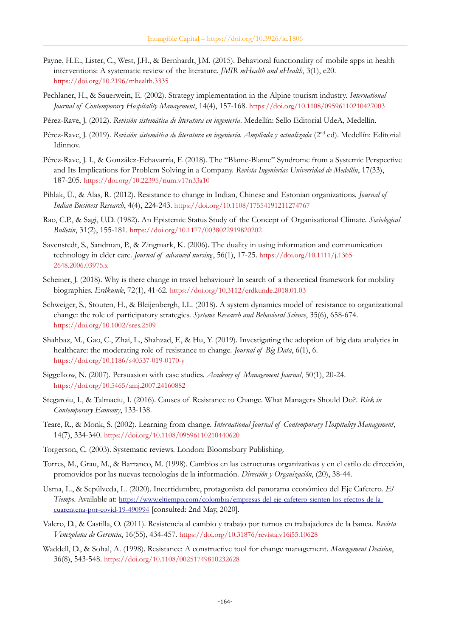- Payne, H.E., Lister, C., West, J.H., & Bernhardt, J.M. (2015). Behavioral functionality of mobile apps in health interventions: A systematic review of the literature. *JMIR mHealth and uHealth*, 3(1), e20. <https://doi.org/10.2196/mhealth.3335>
- Pechlaner, H., & Sauerwein, E. (2002). Strategy implementation in the Alpine tourism industry. *International Journal of Contemporary Hospitality Management*, 14(4), 157-168. <https://doi.org/10.1108/09596110210427003>
- Pérez-Rave, J. (2012). *Revisión sistemática de literatura en ingeniería*. Medellín: Sello Editorial UdeA, Medellín.
- Pérez-Rave, J. (2019). Revisión sistemática de literatura en ingeniería. Ampliada y actualizada (2<sup>nd</sup> ed). Medellín: Editorial Idinnov.
- Pérez-Rave, J. I., & González-Echavarría, F. (2018). The "Blame-Blame" Syndrome from a Systemic Perspective and Its Implications for Problem Solving in a Company. *Revista Ingenierías Universidad de Medellín*, 17(33), 187-205. <https://doi.org/10.22395/rium.v17n33a10>
- Pihlak, Ü., & Alas, R. (2012). Resistance to change in Indian, Chinese and Estonian organizations. *Journal of Indian Business Research*, 4(4), 224-243. <https://doi.org/10.1108/17554191211274767>
- Rao, C.P., & Sagi, U.D. (1982). An Epistemic Status Study of the Concept of Organisational Climate. *Sociological Bulletin*, 31(2), 155-181. <https://doi.org/10.1177/0038022919820202>
- Savenstedt, S., Sandman, P., & Zingmark, K. (2006). The duality in using information and communication technology in elder care. *Journal of advanced nursing*, 56(1), 17-25. [https://doi.org/10.1111/j.1365-](https://doi.org/10.1111/j.1365-2648.2006.03975.x) [2648.2006.03975.x](https://doi.org/10.1111/j.1365-2648.2006.03975.x)
- Scheiner, J. (2018). Why is there change in travel behaviour? In search of a theoretical framework for mobility biographies. *Erdkunde*, 72(1), 41-62. <https://doi.org/10.3112/erdkunde.2018.01.03>
- Schweiger, S., Stouten, H., & Bleijenbergh, I.L. (2018). A system dynamics model of resistance to organizational change: the role of participatory strategies. *Systems Research and Behavioral Science*, 35(6), 658-674. <https://doi.org/10.1002/sres.2509>
- Shahbaz, M., Gao, C., Zhai, L., Shahzad, F., & Hu, Y. (2019). Investigating the adoption of big data analytics in healthcare: the moderating role of resistance to change. *Journal of Big Data*, 6(1), 6. <https://doi.org/10.1186/s40537-019-0170-y>
- Siggelkow, N. (2007). Persuasion with case studies. *Academy of Management Journal*, 50(1), 20-24. <https://doi.org/10.5465/amj.2007.24160882>
- Stegaroiu, I., & Talmaciu, I. (2016). Causes of Resistance to Change. What Managers Should Do?. *Risk in Contemporary Economy*, 133-138.
- Teare, R., & Monk, S. (2002). Learning from change. *International Journal of Contemporary Hospitality Management*, 14(7), 334-340. <https://doi.org/10.1108/09596110210440620>
- Torgerson, C. (2003). Systematic reviews. London: Bloomsbury Publishing.
- Torres, M., Grau, M., & Barranco, M. (1998). Cambios en las estructuras organizativas y en el estilo de dirección, promovidos por las nuevas tecnologías de la información. *Dirección y Organización*, (20), 38-44.
- Usma, L., & Sepúlveda, L. (2020). Incertidumbre, protagonista del panorama económico del Eje Cafetero. *El Tiempo*. Available at: [https://www.eltiempo.com/colombia/empresas-del-eje-cafetero-sienten-los-efectos-de-la](https://www.eltiempo.com/colombia/empresas-del-eje-cafetero-sienten-los-efectos-de-la-cuarentena-por-covid-19-490994)[cuarentena-por-covid-19-490994](https://www.eltiempo.com/colombia/empresas-del-eje-cafetero-sienten-los-efectos-de-la-cuarentena-por-covid-19-490994) [consulted: 2nd May, 2020].
- Valero, D., & Castilla, O. (2011). Resistencia al cambio y trabajo por turnos en trabajadores de la banca. *Revista Venezolana de Gerencia*, 16(55), 434-457. <https://doi.org/10.31876/revista.v16i55.10628>
- Waddell, D., & Sohal, A. (1998). Resistance: A constructive tool for change management. *Management Decision*, 36(8), 543-548. <https://doi.org/10.1108/00251749810232628>